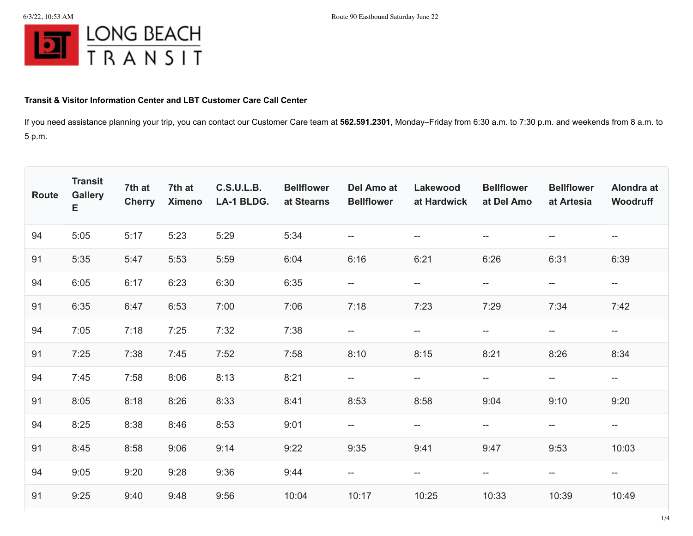

## **Transit & Visitor Information Center and LBT Customer Care Call Center**

If you need assistance planning your trip, you can contact our Customer Care team at **562.591.2301**, Monday–Friday from 6:30 a.m. to 7:30 p.m. and weekends from 8 a.m. to 5 p.m.

| Route | <b>Transit</b><br><b>Gallery</b><br>E | 7th at<br><b>Cherry</b> | 7th at<br><b>Ximeno</b> | <b>C.S.U.L.B.</b><br>LA-1 BLDG. | <b>Bellflower</b><br>at Stearns | Del Amo at<br><b>Bellflower</b> | Lakewood<br>at Hardwick                             | <b>Bellflower</b><br>at Del Amo                     | <b>Bellflower</b><br>at Artesia                     | Alondra at<br>Woodruff                              |
|-------|---------------------------------------|-------------------------|-------------------------|---------------------------------|---------------------------------|---------------------------------|-----------------------------------------------------|-----------------------------------------------------|-----------------------------------------------------|-----------------------------------------------------|
| 94    | 5:05                                  | 5:17                    | 5:23                    | 5:29                            | 5:34                            | --                              | $\overline{\phantom{m}}$                            | $\overline{\phantom{m}}$                            | $- -$                                               | $-\!$                                               |
| 91    | 5:35                                  | 5:47                    | 5:53                    | 5:59                            | 6:04                            | 6:16                            | 6:21                                                | 6:26                                                | 6:31                                                | 6:39                                                |
| 94    | 6:05                                  | 6:17                    | 6:23                    | 6:30                            | 6:35                            | $\qquad \qquad -$               | $\overline{\phantom{m}}$                            | $\overline{\phantom{m}}$                            | --                                                  | $\overline{\phantom{m}}$                            |
| 91    | 6:35                                  | 6:47                    | 6:53                    | 7:00                            | 7:06                            | 7:18                            | 7:23                                                | 7:29                                                | 7:34                                                | 7:42                                                |
| 94    | 7:05                                  | 7:18                    | 7:25                    | 7:32                            | 7:38                            | $-\!$                           | $-\!$                                               | $-\!$                                               | $\overline{\phantom{m}}$                            | $\overline{\phantom{a}}$                            |
| 91    | 7:25                                  | 7:38                    | 7:45                    | 7:52                            | 7:58                            | 8:10                            | 8:15                                                | 8:21                                                | 8:26                                                | 8:34                                                |
| 94    | 7:45                                  | 7:58                    | 8:06                    | 8:13                            | 8:21                            | $- -$                           | $\overline{\phantom{m}}$                            | $\overline{\phantom{m}}$                            | $\overline{\phantom{m}}$                            | $- -$                                               |
| 91    | 8:05                                  | 8:18                    | 8:26                    | 8:33                            | 8:41                            | 8:53                            | 8:58                                                | 9:04                                                | 9:10                                                | 9:20                                                |
| 94    | 8:25                                  | 8:38                    | 8:46                    | 8:53                            | 9:01                            | $- -$                           | $\hspace{0.05cm} -\hspace{0.05cm} -\hspace{0.05cm}$ | $\hspace{0.05cm} -\hspace{0.05cm} -\hspace{0.05cm}$ | $-\!$                                               | $- -$                                               |
| 91    | 8:45                                  | 8:58                    | 9:06                    | 9:14                            | 9:22                            | 9:35                            | 9:41                                                | 9:47                                                | 9:53                                                | 10:03                                               |
| 94    | 9:05                                  | 9:20                    | 9:28                    | 9:36                            | 9:44                            | $-\!$                           | $\hspace{0.05cm} -\hspace{0.05cm} -\hspace{0.05cm}$ | $-\!$                                               | $\hspace{0.05cm} -\hspace{0.05cm} -\hspace{0.05cm}$ | $\hspace{0.05cm} -\hspace{0.05cm} -\hspace{0.05cm}$ |
| 91    | 9:25                                  | 9:40                    | 9:48                    | 9:56                            | 10:04                           | 10:17                           | 10:25                                               | 10:33                                               | 10:39                                               | 10:49                                               |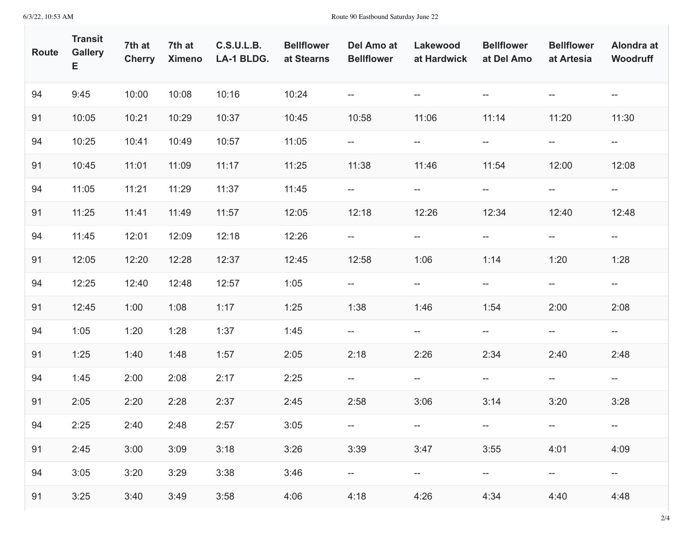| <b>Route</b> | <b>Transit</b><br><b>Gallery</b><br>Е | 7th at<br><b>Cherry</b> | 7th at<br><b>Ximeno</b> | <b>C.S.U.L.B.</b><br>LA-1 BLDG. | <b>Bellflower</b><br>at Stearns | Del Amo at<br><b>Bellflower</b>                     | Lakewood<br>at Hardwick            | <b>Bellflower</b><br>at Del Amo                     | <b>Bellflower</b><br>at Artesia | Alondra at<br>Woodruff                              |
|--------------|---------------------------------------|-------------------------|-------------------------|---------------------------------|---------------------------------|-----------------------------------------------------|------------------------------------|-----------------------------------------------------|---------------------------------|-----------------------------------------------------|
| 94           | 9:45                                  | 10:00                   | 10:08                   | 10:16                           | 10:24                           | $\overline{\phantom{m}}$                            | $\overline{\phantom{m}}$           | $--$                                                | $- -$                           | $\hspace{0.05cm} -\hspace{0.05cm} -\hspace{0.05cm}$ |
| 91           | 10:05                                 | 10:21                   | 10:29                   | 10:37                           | 10:45                           | 10:58                                               | 11:06                              | 11:14                                               | 11:20                           | 11:30                                               |
| 94           | 10:25                                 | 10:41                   | 10:49                   | 10:57                           | 11:05                           | ÷                                                   | $-\!$                              | $\overline{\phantom{a}}$                            | $\overline{\phantom{a}}$        | $\hspace{0.05cm} \dashv$                            |
| 91           | 10:45                                 | 11:01                   | 11:09                   | 11:17                           | 11:25                           | 11:38                                               | 11:46                              | 11:54                                               | 12:00                           | 12:08                                               |
| 94           | 11:05                                 | 11:21                   | 11:29                   | 11:37                           | 11:45                           | $\hspace{0.05cm} -\hspace{0.05cm} -\hspace{0.05cm}$ | $--$                               | $\overline{\phantom{a}}$                            | $- -$                           | $- -$                                               |
| 91           | 11:25                                 | 11:41                   | 11:49                   | 11:57                           | 12:05                           | 12:18                                               | 12:26                              | 12:34                                               | 12:40                           | 12:48                                               |
| 94           | 11:45                                 | 12:01                   | 12:09                   | 12:18                           | 12:26                           | ÷                                                   | $\overline{\phantom{a}}$           | $--$                                                | $\overline{\phantom{a}}$        | $- -$                                               |
| 91           | 12:05                                 | 12:20                   | 12:28                   | 12:37                           | 12:45                           | 12:58                                               | 1:06                               | 1:14                                                | 1:20                            | 1:28                                                |
| 94           | 12:25                                 | 12:40                   | 12:48                   | 12:57                           | 1:05                            | --                                                  | $\overline{\phantom{a}}$           | $\overline{\phantom{a}}$                            | $- -$                           | $-\!$ $\!-$                                         |
| 91           | 12:45                                 | 1:00                    | 1:08                    | 1:17                            | 1:25                            | 1:38                                                | 1:46                               | 1:54                                                | 2:00                            | 2:08                                                |
| 94           | 1:05                                  | 1:20                    | 1:28                    | 1:37                            | 1:45                            | --                                                  | $\overline{\phantom{a}}$           | $\overline{\phantom{a}}$                            | $\overline{\phantom{a}}$        | $-\!$ $\!-$                                         |
| 91           | 1:25                                  | 1:40                    | 1:48                    | 1:57                            | 2:05                            | 2:18                                                | 2:26                               | 2:34                                                | 2:40                            | 2:48                                                |
| 94           | 1:45                                  | 2:00                    | 2:08                    | 2:17                            | 2:25                            | $-\!$ $\!-$                                         | $\hspace{0.05cm} -\hspace{0.05cm}$ | $\overline{\phantom{a}}$                            | $- -$                           | $- -$                                               |
| 91           | 2:05                                  | 2:20                    | 2:28                    | 2:37                            | 2:45                            | 2:58                                                | 3:06                               | 3:14                                                | 3:20                            | 3:28                                                |
| 94           | 2:25                                  | 2:40                    | 2:48                    | 2:57                            | 3:05                            |                                                     | $--$                               |                                                     |                                 |                                                     |
| 91           | 2:45                                  | 3:00                    | 3:09                    | 3:18                            | 3:26                            | 3:39                                                | 3:47                               | 3:55                                                | 4:01                            | 4:09                                                |
| 94           | 3:05                                  | 3:20                    | 3:29                    | 3:38                            | 3:46                            |                                                     | $- -$                              | $\hspace{0.05cm} -\hspace{0.05cm} -\hspace{0.05cm}$ | $--$                            | $\hspace{0.05cm} -\hspace{0.05cm} -\hspace{0.05cm}$ |
| 91           | 3:25                                  | 3:40                    | 3:49                    | 3:58                            | 4:06                            | 4:18                                                | 4:26                               | 4:34                                                | 4:40                            | 4:48                                                |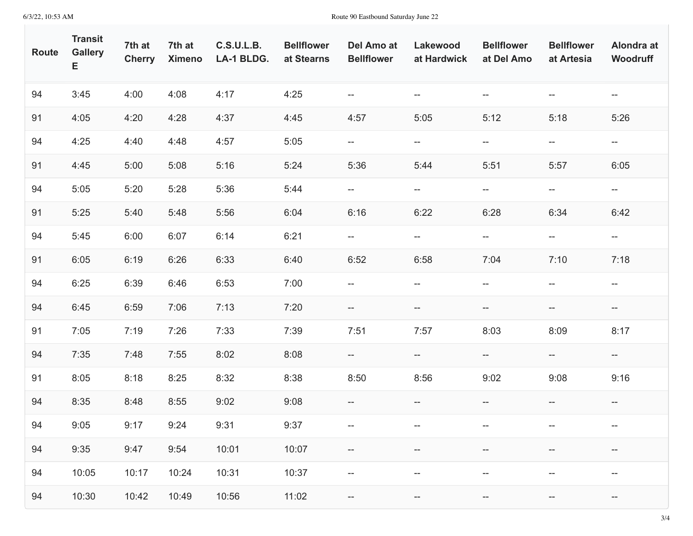| Route | <b>Transit</b><br><b>Gallery</b><br>Е | 7th at<br><b>Cherry</b> | 7th at<br><b>Ximeno</b> | <b>C.S.U.L.B.</b><br>LA-1 BLDG. | <b>Bellflower</b><br>at Stearns | Del Amo at<br><b>Bellflower</b> | Lakewood<br>at Hardwick            | <b>Bellflower</b><br>at Del Amo                     | <b>Bellflower</b><br>at Artesia | Alondra at<br>Woodruff   |
|-------|---------------------------------------|-------------------------|-------------------------|---------------------------------|---------------------------------|---------------------------------|------------------------------------|-----------------------------------------------------|---------------------------------|--------------------------|
| 94    | 3:45                                  | 4:00                    | 4:08                    | 4:17                            | 4:25                            | --                              | $\hspace{0.05cm} -\hspace{0.05cm}$ | $\hspace{0.05cm} -\hspace{0.05cm} -\hspace{0.05cm}$ | $\overline{\phantom{a}}$        | $- -$                    |
| 91    | 4:05                                  | 4:20                    | 4:28                    | 4:37                            | 4:45                            | 4:57                            | 5:05                               | 5:12                                                | 5:18                            | 5:26                     |
| 94    | 4:25                                  | 4:40                    | 4:48                    | 4:57                            | 5:05                            | --                              | $\overline{\phantom{a}}$           | $\hspace{0.05cm} \dashv$                            | $\hspace{0.05cm} \dashv$        | $\overline{\phantom{a}}$ |
| 91    | 4:45                                  | 5:00                    | 5:08                    | 5:16                            | 5:24                            | 5:36                            | 5:44                               | 5:51                                                | 5:57                            | 6:05                     |
| 94    | 5:05                                  | 5:20                    | 5:28                    | 5:36                            | 5:44                            | $- -$                           | $- -$                              | $-\!$                                               | $\hspace{0.05cm} \dashv$        | $- -$                    |
| 91    | 5:25                                  | 5:40                    | 5:48                    | 5:56                            | 6:04                            | 6:16                            | 6:22                               | 6:28                                                | 6:34                            | 6:42                     |
| 94    | 5:45                                  | 6:00                    | 6:07                    | 6:14                            | 6:21                            | $-\!$                           | $-\!$                              | $\hspace{0.05cm} \dashv$                            | --                              | $\overline{\phantom{a}}$ |
| 91    | 6:05                                  | 6:19                    | 6:26                    | 6:33                            | 6:40                            | 6:52                            | 6:58                               | 7:04                                                | 7:10                            | 7:18                     |
| 94    | 6:25                                  | 6:39                    | 6:46                    | 6:53                            | 7:00                            | $- -$                           | $-\!$                              | $-\!$                                               | $\overline{\phantom{a}}$        | $\overline{\phantom{a}}$ |
| 94    | 6:45                                  | 6:59                    | 7:06                    | 7:13                            | 7:20                            | $-\!$                           | --                                 | --                                                  | $\hspace{0.05cm} \dashv$        | $-\!$                    |
| 91    | 7:05                                  | 7:19                    | 7:26                    | 7:33                            | 7:39                            | 7:51                            | 7:57                               | 8:03                                                | 8:09                            | 8:17                     |
| 94    | 7:35                                  | 7:48                    | 7:55                    | 8:02                            | 8:08                            | $- -$                           | $- -$                              | $\overline{\phantom{a}}$                            | $\hspace{0.05cm} \dashv$        | $-\!$                    |
| 91    | 8:05                                  | 8:18                    | 8:25                    | 8:32                            | 8:38                            | 8:50                            | 8:56                               | 9:02                                                | 9:08                            | 9:16                     |
| 94    | 8:35                                  | 8:48                    | 8:55                    | 9:02                            | 9:08                            | $-\!$                           | $- -$                              | $- -$                                               | $- -$                           | $-\!$                    |
| 94    | 9:05                                  | 9:17                    | 9:24                    | 9:31                            | 9:37                            | $--$                            | --                                 | $--$                                                |                                 |                          |
| 94    | 9:35                                  | 9:47                    | 9:54                    | 10:01                           | 10:07                           | --                              | --                                 | --                                                  |                                 | $-\!$                    |
| 94    | 10:05                                 | 10:17                   | 10:24                   | 10:31                           | 10:37                           | --                              | $- -$                              | $- -$                                               | $- -$                           | $- -$                    |
| 94    | 10:30                                 | 10:42                   | 10:49                   | 10:56                           | 11:02                           | $-\!$                           | $- -$                              | $\hspace{0.05cm} \dashv$                            | $-\!$                           | $-\!$                    |